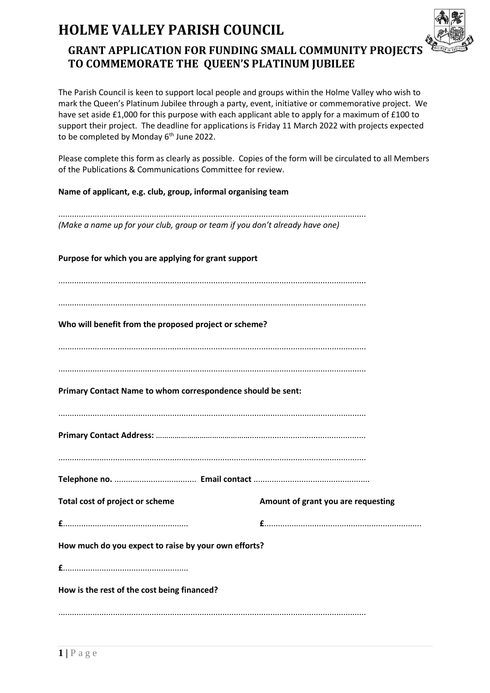## **HOLME VALLEY PARISH COUNCIL**



## **GRANT APPLICATION FOR FUNDING SMALL COMMUNITY PROJECTS TO COMMEMORATE THE QUEEN'S PLATINUM JUBILEE**

The Parish Council is keen to support local people and groups within the Holme Valley who wish to mark the Queen's Platinum Jubilee through a party, event, initiative or commemorative project. We have set aside £1,000 for this purpose with each applicant able to apply for a maximum of £100 to support their project. The deadline for applications is Friday 11 March 2022 with projects expected to be completed by Monday 6<sup>th</sup> June 2022.

Please complete this form as clearly as possible. Copies of the form will be circulated to all Members of the Publications & Communications Committee for review.

**Name of applicant, e.g. club, group, informal organising team** 

....................................................................................................................................... *(Make a name up for your club, group or team if you don't already have one)*

**Purpose for which you are applying for grant support** ....................................................................................................................................... ....................................................................................................................................... **Who will benefit from the proposed project or scheme?** ....................................................................................................................................... ....................................................................................................................................... **Primary Contact Name to whom correspondence should be sent:** ....................................................................................................................................... **Primary Contact Address:** ………………………………………................................................... ....................................................................................................................................... **Telephone no.** .................................... **Email contact** ................................................... **Total cost of project or scheme Amount of grant you are requesting £**....................................................... **£**..................................................................... **How much do you expect to raise by your own efforts? £**....................................................... **How is the rest of the cost being financed?** .......................................................................................................................................